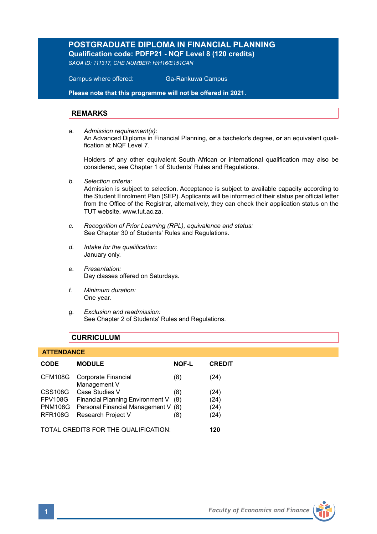# **POSTGRADUATE DIPLOMA IN FINANCIAL PLANNING Qualification code: PDFP21 - NQF Level 8 (120 credits)**

*SAQA ID: 111317, CHE NUMBER: H/H16/E151CAN* 

 Campus where offered: Ga-Rankuwa Campus

**Please note that this programme will not be offered in 2021.**

### **REMARKS**

*a. Admission requirement(s):*  An Advanced Diploma in Financial Planning, **or** a bachelor's degree, **or** an equivalent qualification at NOF Level 7

Holders of any other equivalent South African or international qualification may also be considered, see Chapter 1 of Students' Rules and Regulations.

*b. Selection criteria:*

Admission is subject to selection. Acceptance is subject to available capacity according to the Student Enrolment Plan (SEP). Applicants will be informed of their status per official letter from the Office of the Registrar, alternatively, they can check their application status on the TUT website, www.tut.ac.za.

- *c. Recognition of Prior Learning (RPL), equivalence and status:* See Chapter 30 of Students' Rules and Regulations.
- *d. Intake for the qualification:* January only.
- *e. Presentation:* Day classes offered on Saturdays.
- *f. Minimum duration:* One year.
- *g. Exclusion and readmission:* See Chapter 2 of Students' Rules and Regulations.

## **CURRICULUM**

### **ATTENDANCE**

| <b>CODE</b>                          | <b>MODULE</b>                       | <b>NOF-L</b> | <b>CREDIT</b> |
|--------------------------------------|-------------------------------------|--------------|---------------|
| CFM108G                              | Corporate Financial<br>Management V | (8)          | (24)          |
| <b>CSS108G</b>                       | Case Studies V                      | (8)          | (24)          |
| <b>FPV108G</b>                       | Financial Planning Environment V    | (8)          | (24)          |
| <b>PNM108G</b>                       | Personal Financial Management V (8) |              | (24)          |
| <b>RFR108G</b>                       | Research Project V                  | (8)          | (24)          |
| TOTAL CREDITS FOR THE QUALIFICATION: |                                     |              | 120           |